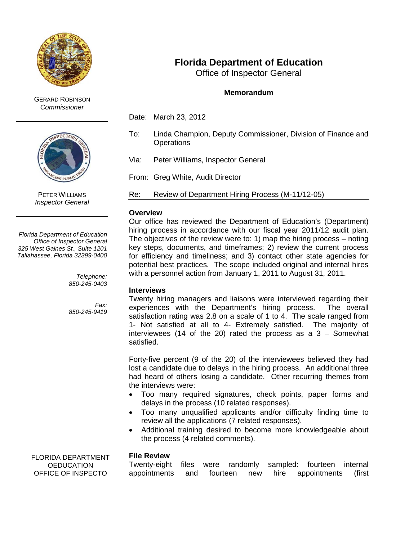

GERARD ROBINSON *Commissioner*



PETER WILLIAMS *Inspector General*

*Florida Department of Education Office of Inspector General 325 West Gaines St., Suite 1201 Tallahassee, Florida 32399-0400*

> *Telephone: 850-245-0403*

*Fax: 850-245-9419*

FLORIDA DEPARTMENT **OEDUCATION** OFFICE OF INSPECTO

# **Florida Department of Education**

Office of Inspector General

## **Memorandum**

Date: March 23, 2012

- To: Linda Champion, Deputy Commissioner, Division of Finance and **Operations**
- Via: Peter Williams, Inspector General

From: Greg White, Audit Director

Re: Review of Department Hiring Process (M-11/12-05)

#### **Overview**

Our office has reviewed the Department of Education's (Department) hiring process in accordance with our fiscal year 2011/12 audit plan. The objectives of the review were to: 1) map the hiring process – noting key steps, documents, and timeframes; 2) review the current process for efficiency and timeliness; and 3) contact other state agencies for potential best practices. The scope included original and internal hires with a personnel action from January 1, 2011 to August 31, 2011.

## **Interviews**

Twenty hiring managers and liaisons were interviewed regarding their experiences with the Department's hiring process. The overall satisfaction rating was 2.8 on a scale of 1 to 4. The scale ranged from 1- Not satisfied at all to 4- Extremely satisfied. The majority of interviewees (14 of the 20) rated the process as a 3 – Somewhat satisfied.

Forty-five percent (9 of the 20) of the interviewees believed they had lost a candidate due to delays in the hiring process. An additional three had heard of others losing a candidate. Other recurring themes from the interviews were:

- Too many required signatures, check points, paper forms and delays in the process (10 related responses).
- Too many unqualified applicants and/or difficulty finding time to review all the applications (7 related responses).
- Additional training desired to become more knowledgeable about the process (4 related comments).

## **File Review**

Twenty-eight files were randomly sampled: fourteen internal appointments and fourteen new hire appointments (first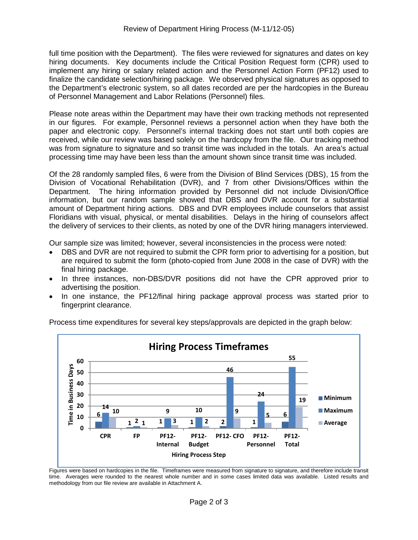full time position with the Department). The files were reviewed for signatures and dates on key hiring documents. Key documents include the Critical Position Request form (CPR) used to implement any hiring or salary related action and the Personnel Action Form (PF12) used to finalize the candidate selection/hiring package. We observed physical signatures as opposed to the Department's electronic system, so all dates recorded are per the hardcopies in the Bureau of Personnel Management and Labor Relations (Personnel) files.

Please note areas within the Department may have their own tracking methods not represented in our figures. For example, Personnel reviews a personnel action when they have both the paper and electronic copy. Personnel's internal tracking does not start until both copies are received, while our review was based solely on the hardcopy from the file. Our tracking method was from signature to signature and so transit time was included in the totals. An area's actual processing time may have been less than the amount shown since transit time was included.

Of the 28 randomly sampled files, 6 were from the Division of Blind Services (DBS), 15 from the Division of Vocational Rehabilitation (DVR), and 7 from other Divisions/Offices within the Department. The hiring information provided by Personnel did not include Division/Office information, but our random sample showed that DBS and DVR account for a substantial amount of Department hiring actions. DBS and DVR employees include counselors that assist Floridians with visual, physical, or mental disabilities. Delays in the hiring of counselors affect the delivery of services to their clients, as noted by one of the DVR hiring managers interviewed.

Our sample size was limited; however, several inconsistencies in the process were noted:

- DBS and DVR are not required to submit the CPR form prior to advertising for a position, but are required to submit the form (photo-copied from June 2008 in the case of DVR) with the final hiring package.
- In three instances, non-DBS/DVR positions did not have the CPR approved prior to advertising the position.
- In one instance, the PF12/final hiring package approval process was started prior to fingerprint clearance.



Process time expenditures for several key steps/approvals are depicted in the graph below:

Figures were based on hardcopies in the file. Timeframes were measured from signature to signature, and therefore include transit time. Averages were rounded to the nearest whole number and in some cases limited data was available. Listed results and methodology from our file review are available in Attachment A.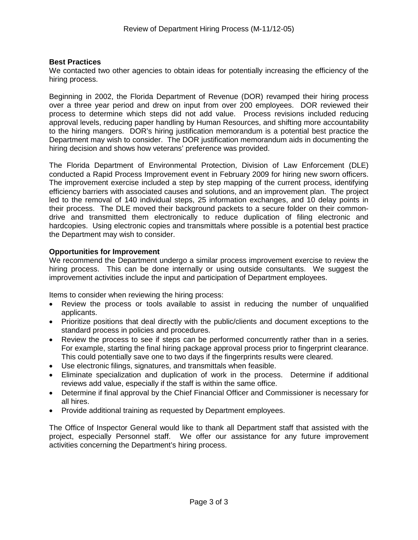## **Best Practices**

We contacted two other agencies to obtain ideas for potentially increasing the efficiency of the hiring process.

Beginning in 2002, the Florida Department of Revenue (DOR) revamped their hiring process over a three year period and drew on input from over 200 employees. DOR reviewed their process to determine which steps did not add value. Process revisions included reducing approval levels, reducing paper handling by Human Resources, and shifting more accountability to the hiring mangers. DOR's hiring justification memorandum is a potential best practice the Department may wish to consider. The DOR justification memorandum aids in documenting the hiring decision and shows how veterans' preference was provided.

The Florida Department of Environmental Protection, Division of Law Enforcement (DLE) conducted a Rapid Process Improvement event in February 2009 for hiring new sworn officers. The improvement exercise included a step by step mapping of the current process, identifying efficiency barriers with associated causes and solutions, and an improvement plan. The project led to the removal of 140 individual steps, 25 information exchanges, and 10 delay points in their process. The DLE moved their background packets to a secure folder on their commondrive and transmitted them electronically to reduce duplication of filing electronic and hardcopies. Using electronic copies and transmittals where possible is a potential best practice the Department may wish to consider.

## **Opportunities for Improvement**

We recommend the Department undergo a similar process improvement exercise to review the hiring process. This can be done internally or using outside consultants. We suggest the improvement activities include the input and participation of Department employees.

Items to consider when reviewing the hiring process:

- Review the process or tools available to assist in reducing the number of unqualified applicants.
- Prioritize positions that deal directly with the public/clients and document exceptions to the standard process in policies and procedures.
- Review the process to see if steps can be performed concurrently rather than in a series. For example, starting the final hiring package approval process prior to fingerprint clearance. This could potentially save one to two days if the fingerprints results were cleared.
- Use electronic filings, signatures, and transmittals when feasible.
- Eliminate specialization and duplication of work in the process. Determine if additional reviews add value, especially if the staff is within the same office.
- Determine if final approval by the Chief Financial Officer and Commissioner is necessary for all hires.
- Provide additional training as requested by Department employees.

The Office of Inspector General would like to thank all Department staff that assisted with the project, especially Personnel staff. We offer our assistance for any future improvement activities concerning the Department's hiring process.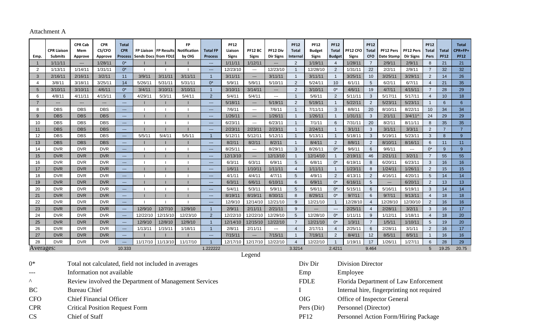# Attachment A

| Emp.                            | <b>CPR Liaison</b><br>Submits                                  | <b>CPR Cab</b><br>Mem<br>Approve                      | <b>CPR</b><br>CS/CFO<br>Approve | <b>Total</b><br><b>CPR</b><br>Process                                                                                                                                                                                                                                                                                                                                                        | <b>FP Liaison</b><br><b>Sends Docs from FDLE</b> |                | <b>FP</b><br><b>FP Results</b> Notification<br>by OIG | <b>Total FP</b><br><b>Process</b> | <b>PF12</b><br>Liaison<br><b>Signs</b> | <b>PF12 BC</b><br>Signs  | PF12 Div<br><b>Dir Signs</b> | <b>PF12</b><br>Total<br>Internal | <b>PF12</b><br><b>Budget</b><br><b>Signs</b> | <b>PF12</b><br><b>Total</b><br><b>Budget</b>         | PF12 CFO<br>Signs | <b>PF12</b><br><b>Total</b><br><b>CFO</b> | PF12 Pers<br>Date Stamp  | PF12 Pers<br>Dir Signs   | <b>PF12</b><br><b>Total</b><br>Pers | <b>Total</b><br><b>PF12</b> | <b>Total</b><br>CPR+FP+<br><b>PF12</b> |
|---------------------------------|----------------------------------------------------------------|-------------------------------------------------------|---------------------------------|----------------------------------------------------------------------------------------------------------------------------------------------------------------------------------------------------------------------------------------------------------------------------------------------------------------------------------------------------------------------------------------------|--------------------------------------------------|----------------|-------------------------------------------------------|-----------------------------------|----------------------------------------|--------------------------|------------------------------|----------------------------------|----------------------------------------------|------------------------------------------------------|-------------------|-------------------------------------------|--------------------------|--------------------------|-------------------------------------|-----------------------------|----------------------------------------|
|                                 | 1/11/11                                                        | $\overline{\phantom{a}}$                              | 1/28/11                         | $0^*$                                                                                                                                                                                                                                                                                                                                                                                        |                                                  |                |                                                       | $\sim$                            | 1/11/11                                | 1/12/11                  | $\overline{\phantom{a}}$     | 2                                | 1/19/11                                      | $\overline{4}$                                       | 1/28/11           | $\overline{7}$                            | 2/9/11                   | 2/9/11                   | 8                                   | 21                          | 21                                     |
| $\overline{2}$                  | 1/13/11                                                        | 1/14/11                                               | 1/31/11                         | $0^*$                                                                                                                                                                                                                                                                                                                                                                                        | $\overline{\phantom{a}}$                         | $\blacksquare$ |                                                       | $\sim$                            | 12/23/10                               | $\overline{\phantom{a}}$ | 12/23/10                     | $\overline{1}$                   | 12/28/10                                     | 2                                                    | 1/31/11           | 22                                        | 2/2/11                   | 2/9/11                   | $\overline{7}$                      | 32                          | 32                                     |
| 3                               | 2/16/11                                                        | 2/16/11                                               | 3/2/11                          | 11                                                                                                                                                                                                                                                                                                                                                                                           | 3/9/11                                           | 3/11/11        | 3/11/11                                               | $\mathbf{1}$                      | 3/11/11                                | $---$                    | 3/11/11                      | $\overline{1}$                   | 3/11/11                                      | $\overline{1}$                                       | 3/25/11           | 10                                        | 3/25/11                  | 3/29/11                  | $\overline{2}$                      | 14                          | 26                                     |
| 4                               | 3/8/11                                                         | 3/18/11                                               | 3/25/11                         | 14                                                                                                                                                                                                                                                                                                                                                                                           | 5/26/11                                          | 5/31/11        | 5/31/11                                               | $0^*$                             | 5/9/11                                 | 5/9/11                   | 5/10/11                      | 2                                | 5/24/11                                      | 10                                                   | 6/1/11            | $5\phantom{.0}$                           | 6/2/11                   | 6/7/11                   | $\overline{4}$                      | 21                          | 35                                     |
| 5 <sup>5</sup>                  | 3/10/11                                                        | 3/10/11                                               | 4/6/11                          | $0^*$                                                                                                                                                                                                                                                                                                                                                                                        | 3/4/11                                           | 3/10/11        | 3/10/11                                               | $\overline{1}$                    | 3/10/11                                | 3/14/11                  | $---$                        | 2                                | 3/10/11                                      | $0^*$                                                | 4/6/11            | 19                                        | 4/7/11                   | 4/15/11                  | $\overline{7}$                      | 28                          | 29                                     |
| 6                               | 4/8/11                                                         | 4/11/11                                               | 4/15/11                         | 6                                                                                                                                                                                                                                                                                                                                                                                            | 4/29/11                                          | 5/3/11         | 5/4/11                                                | $\overline{2}$                    | 5/4/11                                 | 5/4/11                   | ---                          | $\overline{1}$                   | 5/6/11                                       | $\overline{2}$                                       | 5/11/11           | $\mathbf{3}$                              | 5/17/11                  | 5/17/11                  | $\overline{4}$                      | 10                          | 18                                     |
| $\overline{7}$                  | $---$                                                          | $---$                                                 | ---                             | $\frac{1}{2}$                                                                                                                                                                                                                                                                                                                                                                                |                                                  |                |                                                       | $\sim$                            | 5/18/11                                | $\hspace{0.05cm} \ldots$ | 5/19/11                      | 2                                | 5/19/11                                      | $\overline{1}$                                       | 5/22/11           | $\overline{2}$                            | 5/23/11                  | 5/23/11                  |                                     | $6\overline{6}$             | 6                                      |
| 8                               | <b>DBS</b>                                                     | <b>DBS</b>                                            | <b>DBS</b>                      | $\frac{1}{2}$                                                                                                                                                                                                                                                                                                                                                                                |                                                  |                |                                                       | $\sim$ $\sim$ $\sim$              | 7/6/11                                 | $\sim$                   | 7/6/11                       | $\overline{1}$                   | 7/11/11                                      | 3                                                    | 8/8/11            | 20                                        | 8/10/11                  | 8/22/11                  | 10                                  | 34                          | 34                                     |
| 9                               | <b>DBS</b>                                                     | <b>DBS</b>                                            | <b>DBS</b>                      | $\frac{1}{2}$                                                                                                                                                                                                                                                                                                                                                                                |                                                  |                |                                                       | $\sim$                            | 1/26/11                                | $\scriptstyle \cdots$    | 1/26/11                      | $\overline{1}$                   | 1/26/11                                      | $\overline{1}$                                       | 1/31/11           | $\mathbf{3}$                              | 2/1/11                   | 3/4/11                   | 24                                  | 29                          | 29                                     |
| 10                              | <b>DBS</b>                                                     | <b>DBS</b>                                            | <b>DBS</b>                      | $\frac{1}{2}$                                                                                                                                                                                                                                                                                                                                                                                |                                                  | $\mathbf{I}$   |                                                       | $\mathcal{L}_{\text{max}}$        | 6/23/11                                | $\sim$                   | 6/23/11                      | $\overline{1}$                   | 7/1/11                                       | $6\phantom{1}$                                       | 7/31/11           | 20                                        | 8/2/11                   | 8/11/11                  | 8                                   | 35                          | 35                                     |
| 11                              | <b>DBS</b>                                                     | <b>DBS</b>                                            | <b>DBS</b>                      | $\frac{1}{2} \frac{1}{2} \frac{1}{2} \frac{1}{2} \frac{1}{2} \frac{1}{2} \frac{1}{2} \frac{1}{2} \frac{1}{2} \frac{1}{2} \frac{1}{2} \frac{1}{2} \frac{1}{2} \frac{1}{2} \frac{1}{2} \frac{1}{2} \frac{1}{2} \frac{1}{2} \frac{1}{2} \frac{1}{2} \frac{1}{2} \frac{1}{2} \frac{1}{2} \frac{1}{2} \frac{1}{2} \frac{1}{2} \frac{1}{2} \frac{1}{2} \frac{1}{2} \frac{1}{2} \frac{1}{2} \frac{$ |                                                  |                |                                                       | $\mathbb{Z}_{2}$                  | 2/23/11                                | 2/23/11                  | 2/23/11                      | $\overline{1}$                   | 2/24/11                                      |                                                      | 3/1/11            | $\mathbf{3}$                              | 3/1/11                   | 3/3/11                   | 2                                   | $\overline{7}$              | $\overline{7}$                         |
| 12                              | <b>DBS</b>                                                     | <b>DBS</b>                                            | <b>DBS</b>                      | $\overline{a}$                                                                                                                                                                                                                                                                                                                                                                               | 5/5/11                                           | 5/4/11         | 5/5/11                                                | $\overline{1}$                    | 5/12/11                                | 5/12/11                  | 5/12/11                      | $\overline{1}$                   | 5/13/11                                      | $\overline{1}$                                       | 5/18/11           | 3                                         | 5/19/11                  | 5/23/11                  | 3                                   | 8                           | 9                                      |
| 13                              | <b>DBS</b>                                                     | <b>DBS</b>                                            | <b>DBS</b>                      | $\overline{a}$                                                                                                                                                                                                                                                                                                                                                                               |                                                  |                |                                                       | $\mathcal{L}_{\text{max}}$        | 8/2/11                                 | 8/2/11                   | 8/2/11                       | $\overline{1}$                   | 8/4/11                                       | 2                                                    | 8/8/11            | 2                                         | 8/10/11                  | 8/16/11                  | 6                                   | 11                          | 11                                     |
| 14                              | <b>DVR</b>                                                     | <b>DVR</b>                                            | <b>DVR</b>                      | $\overline{a}$                                                                                                                                                                                                                                                                                                                                                                               |                                                  |                |                                                       | $\sim$                            | 8/25/11                                | $\sim$ $\sim$            | 8/29/11                      | 3                                | 8/26/11                                      | $0^*$                                                | 9/6/11            | 6                                         | 9/6/11                   | $\overline{\phantom{a}}$ | $0^*$                               | 9                           | 9 <sup>°</sup>                         |
| 15                              | <b>DVR</b>                                                     | <b>DVR</b>                                            | <b>DVR</b>                      | $\frac{1}{2}$                                                                                                                                                                                                                                                                                                                                                                                |                                                  |                |                                                       | $\sim$                            | 12/13/10                               | $\overline{\phantom{a}}$ | 12/13/10                     | $\overline{1}$                   | 12/14/10                                     |                                                      | 2/19/11           | 46                                        | 2/21/11                  | 3/2/11                   | $\overline{7}$                      | 55                          | 55                                     |
| 16                              | <b>DVR</b>                                                     | <b>DVR</b>                                            | <b>DVR</b>                      | $\overline{a}$                                                                                                                                                                                                                                                                                                                                                                               |                                                  |                |                                                       | $\frac{1}{2}$                     | 6/3/11                                 | 6/3/11                   | 6/9/11                       | 5                                | 6/8/11                                       | $0^*$                                                | 6/19/11           | 8                                         | 6/20/11                  | 6/23/11                  | 3                                   | 16                          | 16                                     |
| 17                              | <b>DVR</b>                                                     | <b>DVR</b>                                            | <b>DVR</b>                      | $\overline{\phantom{a}}$                                                                                                                                                                                                                                                                                                                                                                     |                                                  |                |                                                       | $\frac{1}{2}$                     | 1/6/11                                 | 1/10/11                  | 1/11/11                      | $\overline{4}$                   | 1/11/11                                      |                                                      | 1/23/11           | 8                                         | 1/24/11                  | 1/26/11                  | $\overline{2}$                      | 15                          | 15                                     |
| 18                              | <b>DVR</b>                                                     | <b>DVR</b>                                            | <b>DVR</b>                      | $\overline{\phantom{a}}$                                                                                                                                                                                                                                                                                                                                                                     |                                                  | $\blacksquare$ |                                                       | $\frac{1}{2}$                     | 4/1/11                                 | 4/4/11                   | 4/7/11                       | $5\phantom{.0}$                  | 4/9/11                                       | 2                                                    | 4/13/11           | 2                                         | 4/16/11                  | 4/20/11                  | 5                                   | 14                          | 14                                     |
| 19                              | <b>DVR</b>                                                     | <b>DVR</b>                                            | <b>DVR</b>                      | $\frac{1}{2}$                                                                                                                                                                                                                                                                                                                                                                                |                                                  |                |                                                       | $\frac{1}{2}$                     | 6/3/11                                 | 6/6/11                   | 6/10/11                      | 6                                | 6/9/11                                       | $0^*$                                                | 6/16/11           | $\sqrt{5}$                                | $\qquad \qquad - \qquad$ | 6/20/11                  | $\overline{2}$                      | 13                          | 13                                     |
| 20                              | <b>DVR</b>                                                     | <b>DVR</b>                                            | <b>DVR</b>                      | $---$                                                                                                                                                                                                                                                                                                                                                                                        |                                                  |                |                                                       | $---$                             | 5/4/11                                 | 5/3/11                   | 5/9/11                       | $5\phantom{.0}$                  | 5/6/11                                       | $0^*$                                                | 5/15/11           | 6                                         | 5/16/11                  | 5/19/11                  | 3                                   | 14                          | 14                                     |
| 21                              | <b>DVR</b>                                                     | <b>DVR</b>                                            | <b>DVR</b>                      | ---                                                                                                                                                                                                                                                                                                                                                                                          |                                                  |                |                                                       | $\sim$ $\sim$                     | 8/19/11                                | 8/19/11                  | 8/30/11                      | 8                                | 8/29/11                                      | $0^*$                                                | 9/7/11            | 6                                         | 9/7/11                   | 9/13/11                  | $\overline{4}$                      | 18                          | 18                                     |
| 22                              | <b>DVR</b>                                                     | <b>DVR</b>                                            | <b>DVR</b>                      | ---                                                                                                                                                                                                                                                                                                                                                                                          |                                                  |                |                                                       | $\sim$                            | 12/9/10                                | 12/14/10                 | 12/21/10                     | 9                                | 12/21/10                                     | $\overline{1}$                                       | 12/28/10          | $\overline{4}$                            | 12/28/10                 | 12/30/10                 | $\overline{c}$                      | 16                          | 16                                     |
| 23                              | <b>DVR</b>                                                     | <b>DVR</b>                                            | <b>DVR</b>                      | $\frac{1}{2}$                                                                                                                                                                                                                                                                                                                                                                                | 12/9/10                                          | 12/7/10        | 12/9/10                                               | $\mathbf{1}$                      | 2/9/11                                 | 2/11/11                  | 2/21/11                      | 9                                | $---$                                        | $---$                                                | 2/25/11           | $\overline{4}$                            | 2/28/11                  | 3/2/11                   | 3                                   | 16                          | 17                                     |
| 24                              | <b>DVR</b>                                                     | <b>DVR</b>                                            | <b>DVR</b>                      | $\frac{1}{2}$                                                                                                                                                                                                                                                                                                                                                                                | 12/22/10                                         | 12/15/10       | 12/23/10                                              | 2                                 | 12/22/10                               | 12/22/10                 | 12/29/10                     | 5                                | 12/28/10                                     | $0^*$                                                | 1/11/11           | 9                                         | 1/12/11                  | 1/18/11                  | $\overline{4}$                      | 18                          | 20                                     |
| 25                              | <b>DVR</b>                                                     | <b>DVR</b>                                            | <b>DVR</b>                      | $\sim$                                                                                                                                                                                                                                                                                                                                                                                       | 12/9/10                                          | 12/8/10        | 12/9/10                                               | $\overline{1}$                    | 12/14/10                               | 12/15/10                 | 12/22/10                     | $\overline{7}$                   | 12/21/10                                     | $0^*$                                                | 1/3/11            | $\overline{7}$                            | 1/5/11                   | 1/10/11                  | $\sqrt{5}$                          | 19                          | 20                                     |
| 26                              | <b>DVR</b>                                                     | <b>DVR</b>                                            | <b>DVR</b>                      | $\qquad \qquad \text{---}$                                                                                                                                                                                                                                                                                                                                                                   | 1/13/11                                          | 1/15/11        | 1/18/11                                               | $\overline{1}$                    | 2/8/11                                 | 2/11/11                  | ---                          | $\overline{4}$                   | 2/17/11                                      | $\overline{4}$                                       | 2/25/11           | 6                                         | 2/28/11                  | 3/1/11                   | $\overline{2}$                      | 16                          | 17                                     |
| 27                              | <b>DVR</b>                                                     | <b>DVR</b>                                            | <b>DVR</b>                      | <u></u>                                                                                                                                                                                                                                                                                                                                                                                      |                                                  |                |                                                       | $\mathcal{L}_{\text{max}}$        | 7/15/11                                | $\qquad \qquad - \qquad$ | 7/15/11                      | $\overline{1}$                   | 7/19/11                                      | $\overline{2}$                                       | 8/4/11            | 12                                        | 8/5/11                   | 8/5/11                   | $\overline{\phantom{a}}$            | 16                          | 16                                     |
| 28                              | <b>DVR</b>                                                     | <b>DVR</b>                                            | <b>DVR</b>                      | ---                                                                                                                                                                                                                                                                                                                                                                                          | 11/17/10                                         | 11/13/10       | 11/17/10                                              | $\overline{1}$                    | 12/17/10                               | 12/17/10                 | 12/22/10                     | $\overline{4}$                   | 12/22/10                                     |                                                      | 1/19/11           | 17                                        | 1/26/11                  | 1/27/11                  | 6                                   | 28                          | 29                                     |
| Averages:<br>10.333<br>1.222222 |                                                                |                                                       |                                 |                                                                                                                                                                                                                                                                                                                                                                                              |                                                  |                |                                                       |                                   |                                        |                          |                              | 3.3214                           |                                              | 2.4211                                               |                   | 9.464                                     |                          |                          | 5 <sup>5</sup>                      | 19.25                       | 20.75                                  |
| $0*$                            | Legend<br>Total not calculated, field not included in averages |                                                       |                                 |                                                                                                                                                                                                                                                                                                                                                                                              |                                                  |                |                                                       |                                   |                                        |                          |                              |                                  |                                              | <b>Division Director</b>                             |                   |                                           |                          |                          |                                     |                             |                                        |
|                                 | Information not available                                      |                                                       |                                 |                                                                                                                                                                                                                                                                                                                                                                                              |                                                  |                |                                                       |                                   |                                        |                          |                              |                                  | Employee<br>Emp                              |                                                      |                   |                                           |                          |                          |                                     |                             |                                        |
| $\wedge$                        |                                                                |                                                       |                                 |                                                                                                                                                                                                                                                                                                                                                                                              |                                                  |                |                                                       |                                   |                                        |                          |                              |                                  |                                              | <b>FDLE</b><br>Florida Department of Law Enforcement |                   |                                           |                          |                          |                                     |                             |                                        |
|                                 |                                                                | Review involved the Department of Management Services |                                 |                                                                                                                                                                                                                                                                                                                                                                                              |                                                  |                |                                                       |                                   |                                        |                          |                              |                                  |                                              |                                                      |                   |                                           |                          |                          |                                     |                             |                                        |
| <b>BC</b>                       |                                                                | <b>Bureau Chief</b>                                   |                                 |                                                                                                                                                                                                                                                                                                                                                                                              |                                                  |                |                                                       |                                   |                                        |                          |                              |                                  |                                              | Internal hire, fingerprinting not required           |                   |                                           |                          |                          |                                     |                             |                                        |

- CFO Chief Financial Officer OIG Office of Inspector General
- CPR Critical Position Request Form Pers (Dir) Personnel (Director)
- 
- CS Chief of Staff Chief of Staff PF12 Personnel Action Form/Hiring Package